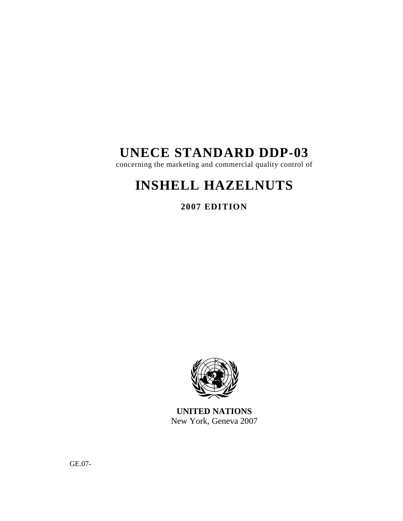# **UNECE STANDARD DDP-03**

concerning the marketing and commercial quality control of

# **INSHELL HAZELNUTS**

**2007 EDITION** 



**UNITED NATIONS**  New York, Geneva 2007

GE.07-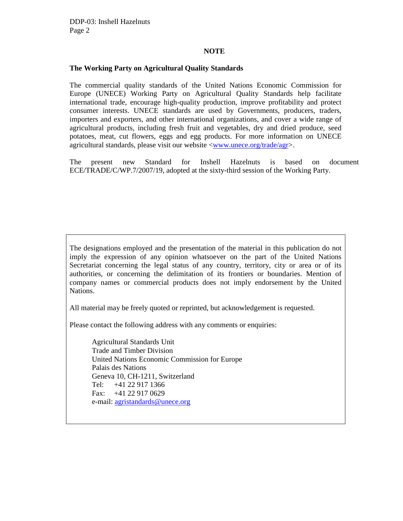#### **NOTE**

#### **The Working Party on Agricultural Quality Standards**

The commercial quality standards of the United Nations Economic Commission for Europe (UNECE) Working Party on Agricultural Quality Standards help facilitate international trade, encourage high-quality production, improve profitability and protect consumer interests. UNECE standards are used by Governments, producers, traders, importers and exporters, and other international organizations, and cover a wide range of agricultural products, including fresh fruit and vegetables, dry and dried produce, seed potatoes, meat, cut flowers, eggs and egg products. For more information on UNECE agricultural standards, please visit our website <www.unece.org/trade/agr>.

The present new Standard for Inshell Hazelnuts is based on document ECE/TRADE/C/WP.7/2007/19, adopted at the sixty-third session of the Working Party.

The designations employed and the presentation of the material in this publication do not imply the expression of any opinion whatsoever on the part of the United Nations Secretariat concerning the legal status of any country, territory, city or area or of its authorities, or concerning the delimitation of its frontiers or boundaries. Mention of company names or commercial products does not imply endorsement by the United Nations.

All material may be freely quoted or reprinted, but acknowledgement is requested.

Please contact the following address with any comments or enquiries:

Agricultural Standards Unit Trade and Timber Division United Nations Economic Commission for Europe Palais des Nations Geneva 10, CH-1211, Switzerland Tel: +41 22 917 1366 Fax: +41 22 917 0629 e-mail: agristandards@unece.org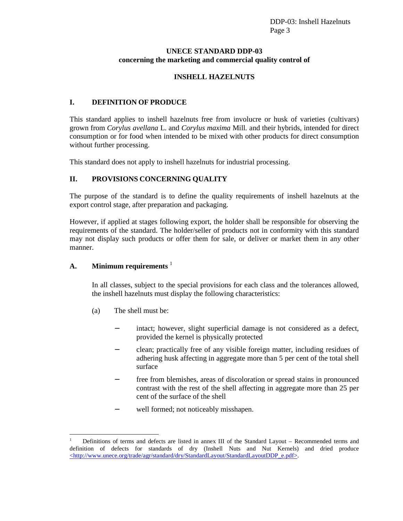#### **UNECE STANDARD DDP-03 concerning the marketing and commercial quality control of**

# **INSHELL HAZELNUTS**

# **I. DEFINITION OF PRODUCE**

This standard applies to inshell hazelnuts free from involucre or husk of varieties (cultivars) grown from *Corylus avellana* L. and *Corylus maxima* Mill*.* and their hybrids, intended for direct consumption or for food when intended to be mixed with other products for direct consumption without further processing.

This standard does not apply to inshell hazelnuts for industrial processing.

# **II. PROVISIONS CONCERNING QUALITY**

The purpose of the standard is to define the quality requirements of inshell hazelnuts at the export control stage, after preparation and packaging.

However, if applied at stages following export, the holder shall be responsible for observing the requirements of the standard. The holder/seller of products not in conformity with this standard may not display such products or offer them for sale, or deliver or market them in any other manner.

# **A. Minimum requirements** <sup>1</sup>

 $\overline{a}$ 

In all classes, subject to the special provisions for each class and the tolerances allowed, the inshell hazelnuts must display the following characteristics:

- (a) The shell must be:
	- − intact; however, slight superficial damage is not considered as a defect, provided the kernel is physically protected
	- − clean; practically free of any visible foreign matter, including residues of adhering husk affecting in aggregate more than 5 per cent of the total shell surface
	- − free from blemishes, areas of discoloration or spread stains in pronounced contrast with the rest of the shell affecting in aggregate more than 25 per cent of the surface of the shell
	- well formed; not noticeably misshapen.

<sup>1</sup>Definitions of terms and defects are listed in annex III of the Standard Layout – Recommended terms and definition of defects for standards of dry (Inshell Nuts and Nut Kernels) and dried produce <http://www.unece.org/trade/agr/standard/dry/StandardLayout/StandardLayoutDDP\_e.pdf>.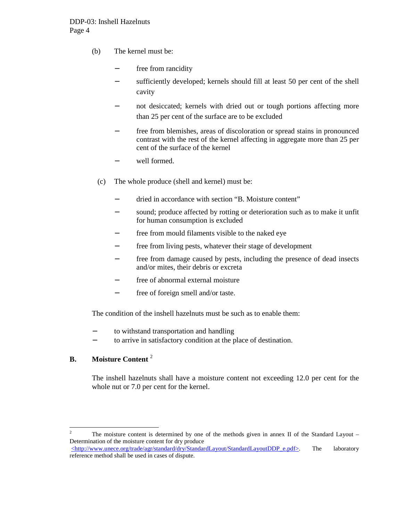- (b) The kernel must be:
	- free from rancidity
	- − sufficiently developed; kernels should fill at least 50 per cent of the shell cavity
	- not desiccated; kernels with dried out or tough portions affecting more than 25 per cent of the surface are to be excluded
	- free from blemishes, areas of discoloration or spread stains in pronounced contrast with the rest of the kernel affecting in aggregate more than 25 per cent of the surface of the kernel
	- well formed.
	- (c) The whole produce (shell and kernel) must be:
		- − dried in accordance with section "B. Moisture content"
		- sound; produce affected by rotting or deterioration such as to make it unfit for human consumption is excluded
		- − free from mould filaments visible to the naked eye
		- − free from living pests, whatever their stage of development
		- free from damage caused by pests, including the presence of dead insects and/or mites, their debris or excreta
		- free of abnormal external moisture
		- − free of foreign smell and/or taste.

The condition of the inshell hazelnuts must be such as to enable them:

- − to withstand transportation and handling
- to arrive in satisfactory condition at the place of destination.

# **B. Moisture Content** <sup>2</sup>

The inshell hazelnuts shall have a moisture content not exceeding 12.0 per cent for the whole nut or 7.0 per cent for the kernel.

 $\frac{1}{2}$ The moisture content is determined by one of the methods given in annex II of the Standard Layout – Determination of the moisture content for dry produce  $\leq$ http://www.unece.org/trade/agr/standard/dry/StandardLayout/StandardLayoutDDP\_e.pdf>. The laboratory

reference method shall be used in cases of dispute.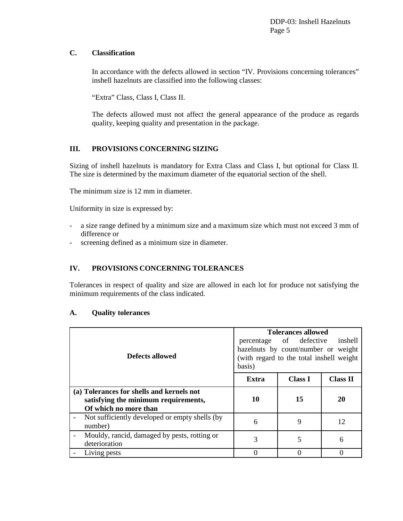## **C. Classification**

In accordance with the defects allowed in section "IV. Provisions concerning tolerances" inshell hazelnuts are classified into the following classes:

"Extra" Class, Class I, Class II.

The defects allowed must not affect the general appearance of the produce as regards quality, keeping quality and presentation in the package.

# **III. PROVISIONS CONCERNING SIZING**

Sizing of inshell hazelnuts is mandatory for Extra Class and Class I, but optional for Class II. The size is determined by the maximum diameter of the equatorial section of the shell.

The minimum size is 12 mm in diameter.

Uniformity in size is expressed by:

- a size range defined by a minimum size and a maximum size which must not exceed 3 mm of difference or
- screening defined as a minimum size in diameter.

# **IV. PROVISIONS CONCERNING TOLERANCES**

Tolerances in respect of quality and size are allowed in each lot for produce not satisfying the minimum requirements of the class indicated.

#### **A. Quality tolerances**

| Defects allowed                                                                                            | <b>Tolerances allowed</b><br>percentage of defective<br>inshell<br>hazelnuts by count/number or weight<br>(with regard to the total inshell weight)<br>basis) |                |                 |
|------------------------------------------------------------------------------------------------------------|---------------------------------------------------------------------------------------------------------------------------------------------------------------|----------------|-----------------|
|                                                                                                            | Extra                                                                                                                                                         | <b>Class I</b> | <b>Class II</b> |
| (a) Tolerances for shells and kernels not<br>satisfying the minimum requirements,<br>Of which no more than | 10                                                                                                                                                            | 15             | 20              |
| Not sufficiently developed or empty shells (by<br>number)                                                  | 6                                                                                                                                                             | 9              | 12              |
| Mouldy, rancid, damaged by pests, rotting or<br>deterioration                                              | 3                                                                                                                                                             | 5              | 6               |
| Living pests                                                                                               |                                                                                                                                                               |                |                 |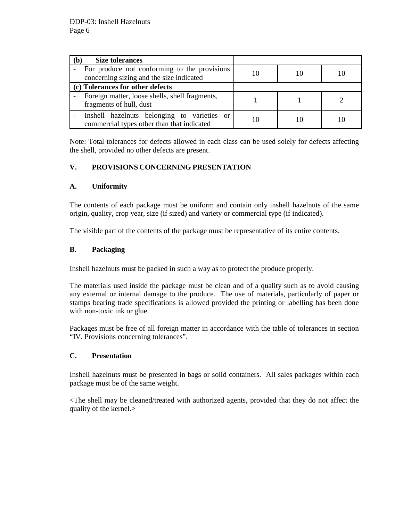| <b>Size tolerances</b><br>`b                                                              |  |  |
|-------------------------------------------------------------------------------------------|--|--|
| For produce not conforming to the provisions<br>concerning sizing and the size indicated  |  |  |
| (c) Tolerances for other defects                                                          |  |  |
| Foreign matter, loose shells, shell fragments,<br>fragments of hull, dust                 |  |  |
| Inshell hazelnuts belonging to varieties or<br>commercial types other than that indicated |  |  |

Note: Total tolerances for defects allowed in each class can be used solely for defects affecting the shell, provided no other defects are present.

## **V. PROVISIONS CONCERNING PRESENTATION**

## **A. Uniformity**

The contents of each package must be uniform and contain only inshell hazelnuts of the same origin, quality, crop year, size (if sized) and variety or commercial type (if indicated).

The visible part of the contents of the package must be representative of its entire contents.

# **B. Packaging**

Inshell hazelnuts must be packed in such a way as to protect the produce properly.

The materials used inside the package must be clean and of a quality such as to avoid causing any external or internal damage to the produce. The use of materials, particularly of paper or stamps bearing trade specifications is allowed provided the printing or labelling has been done with non-toxic ink or glue.

Packages must be free of all foreign matter in accordance with the table of tolerances in section "IV. Provisions concerning tolerances".

#### **C. Presentation**

Inshell hazelnuts must be presented in bags or solid containers. All sales packages within each package must be of the same weight.

<The shell may be cleaned/treated with authorized agents, provided that they do not affect the quality of the kernel.>